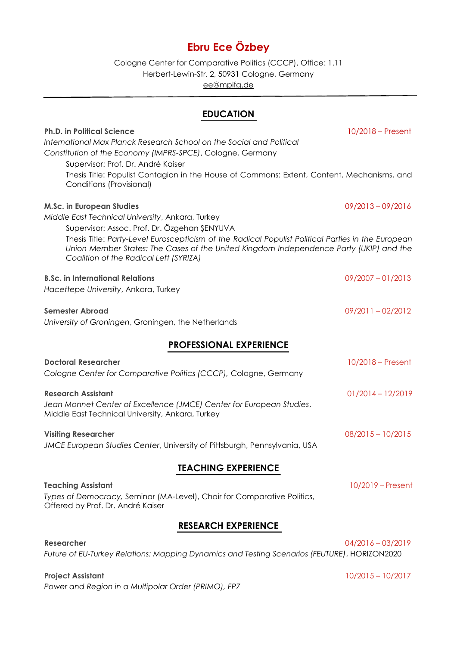# **Ebru Ece Özbey**

Cologne Center for Comparative Politics (CCCP), Office: 1.11 Herbert-Lewin-Str. 2, 50931 Cologne, Germany [ee@mpifg.de](mailto:ee@mpifg.de)

# **EDUCATION**

# **Ph.D. in Political Science** 10/2018 – Present *International Max Planck Research School on the Social and Political Constitution of the Economy (IMPRS-SPCE)*, Cologne, Germany Supervisor: Prof. Dr. André Kaiser Thesis Title: Populist Contagion in the House of Commons: Extent, Content, Mechanisms, and Conditions (Provisional) **M.Sc. in European Studies** 09/2013 – 09/2016 *Middle East Technical University*, Ankara, Turkey Supervisor: Assoc. Prof. Dr. Özgehan ŞENYUVA Thesis Title: *Party-Level Euroscepticism of the Radical Populist Political Parties in the European Union Member States: The Cases of the United Kingdom Independence Party (UKIP) and the Coalition of the Radical Left (SYRIZA)* **B.Sc. in International Relations** 09/2007 – 01/2013

*Hacettepe University*, Ankara, Turkey

### **Semester Abroad** 09/2011 – 02/2012

*University of Groningen*, Groningen, the Netherlands

# **PROFESSIONAL EXPERIENCE**

| <b>Doctoral Researcher</b><br>Cologne Center for Comparative Politics (CCCP), Cologne, Germany                                                        | $10/2018$ – Present |
|-------------------------------------------------------------------------------------------------------------------------------------------------------|---------------------|
| <b>Research Assistant</b><br>Jean Monnet Center of Excellence (JMCE) Center for European Studies,<br>Middle East Technical University, Ankara, Turkey | $01/2014 - 12/2019$ |
| <b>Visiting Researcher</b><br>JMCE European Studies Center, University of Pittsburgh, Pennsylvania, USA                                               | $08/2015 - 10/2015$ |

# **TEACHING EXPERIENCE**

**Teaching Assistant** 10/2019 – Present *Types of Democracy,* Seminar (MA-Level), Chair for Comparative Politics, Offered by Prof. Dr. André Kaiser

# **RESEARCH EXPERIENCE**

| <b>Researcher</b>                                                                            | 04/2016 - 03/2019 |
|----------------------------------------------------------------------------------------------|-------------------|
| Future of EU-Turkey Relations: Mapping Dynamics and Testing Scenarios (FEUTURE), HORIZON2020 |                   |

# **Project Assistant** 10/2015 – 10/2017

*Power and Region in a Multipolar Order (PRIMO), FP7*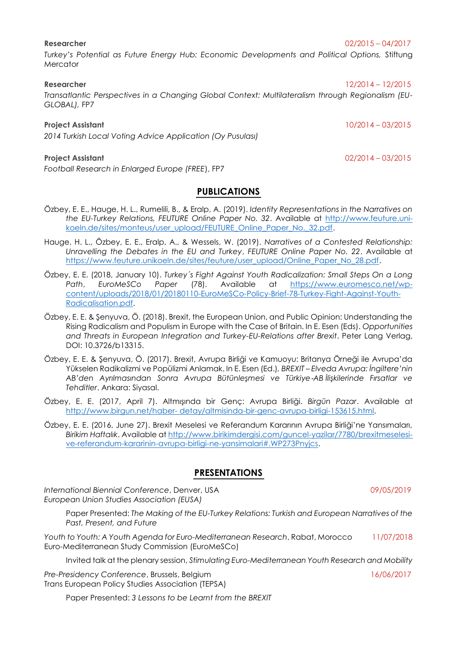*Turkey's Potential as Future Energy Hub: Economic Developments and Political Options,* Stiftung **Mercator** 

#### **Researcher** 12/2014 – 12/2015

*Transatlantic Perspectives in a Changing Global Context: Multilateralism through Regionalism (EU-GLOBAL),* FP7

#### **Project Assistant** 10/2014 – 03/2015

*2014 Turkish Local Voting Advice Application (Oy Pusulası)*

*Football Research in Enlarged Europe (FREE*), FP7

### **PUBLICATIONS**

- Özbey, E. E., Hauge, H. L., Rumelili, B., & Eralp, A. (2019). *Identity Representations in the Narratives on the EU-Turkey Relations, FEUTURE Online Paper No. 32*. Available at [http://www.feuture.uni](http://www.feuture.uni-koeln.de/sites/monteus/user_upload/FEUTURE_Online_Paper_No._32.pdf)[koeln.de/sites/monteus/user\\_upload/FEUTURE\\_Online\\_Paper\\_No.\\_32.pdf.](http://www.feuture.uni-koeln.de/sites/monteus/user_upload/FEUTURE_Online_Paper_No._32.pdf)
- Hauge, H. L., Özbey, E. E., Eralp, A., & Wessels, W. (2019). *Narratives of a Contested Relationship: Unravelling the Debates in the EU and Turkey*, *FEUTURE Online Paper No. 22*. Available at [https://www.feuture.unikoeln.de/sites/feuture/user\\_upload/Online\\_Paper\\_No\\_28.pdf.](https://www.feuture.unikoeln.de/sites/feuture/user_upload/Online_Paper_No_28.pdf)
- Özbey, E. E. (2018, January 10). *Turkey´s Fight Against Youth Radicalization: Small Steps On a Long Path*, *EuroMeSCo Paper* (78). Available at [https://www.euromesco.net/wp](https://www.euromesco.net/wp-content/uploads/2018/01/20180110-EuroMeSCo-Policy-Brief-78-Turkey-Fight-Against-Youth-Radicalisation.pdf)[content/uploads/2018/01/20180110-EuroMeSCo-Policy-Brief-78-Turkey-Fight-Against-Youth-](https://www.euromesco.net/wp-content/uploads/2018/01/20180110-EuroMeSCo-Policy-Brief-78-Turkey-Fight-Against-Youth-Radicalisation.pdf)[Radicalisation.pdf.](https://www.euromesco.net/wp-content/uploads/2018/01/20180110-EuroMeSCo-Policy-Brief-78-Turkey-Fight-Against-Youth-Radicalisation.pdf)
- Özbey, E. E. & Şenyuva, Ö. (2018). Brexit, the European Union, and Public Opinion: Understanding the Rising Radicalism and Populism in Europe with the Case of Britain. In E. Esen (Eds). *Opportunities and Threats in European Integration and Turkey-EU-Relations after Brexit*. Peter Lang Verlag, DOI: 10.3726/b13315.
- Özbey, E. E. & Şenyuva, Ö. (2017). Brexit, Avrupa Birliği ve Kamuoyu: Britanya Örneği ile Avrupa'da Yükselen Radikalizmi ve Popülizmi Anlamak. In E. Esen (Ed.)*, BREXIT – Elveda Avrupa: İngiltere'nin AB'den Ayrılmasından Sonra Avrupa Bütünleşmesi ve Türkiye*‐*AB İlişkilerinde Fırsatlar ve Tehditler*. Ankara: Siyasal.
- Özbey, E. E. (2017, April 7). Altmışında bir Genç: Avrupa Birliği. *Birgün Pazar*. Available at http://www.birgun.net/haber- [detay/altmisinda-bir-genc-avrupa-birligi-153615.html.](http://www.birgun.net/haber-%20detay/altmisinda-bir-genc-avrupa-birligi-153615.html)
- Özbey, E. E. (2016, June 27). Brexit Meselesi ve Referandum Kararının Avrupa Birliği'ne Yansımaları, *Birikim Haftalık*. Available at [http://www.birikimdergisi.com/guncel-yazilar/7780/brexitmeselesi](http://www.birikimdergisi.com/guncel-yazilar/7780/brexitmeselesi-ve-referandum-kararinin-avrupa-birligi-ne-yansimalari#.WP273Pnyjcs)[ve-referandum-kararinin-avrupa-birligi-ne-yansimalari#.WP273Pnyjcs.](http://www.birikimdergisi.com/guncel-yazilar/7780/brexitmeselesi-ve-referandum-kararinin-avrupa-birligi-ne-yansimalari#.WP273Pnyjcs)

### **PRESENTATIONS**

*International Biennial Conference*, Denver, USA09/05/2019 *European Union Studies Association (EUSA)*

Paper Presented: *The Making of the EU-Turkey Relations: Turkish and European Narratives of the Past, Present, and Future*

*Youth to Youth: A Youth Agenda for Euro-Mediterranean Research*, Rabat, Morocco 11/07/2018 Euro-Mediterranean Study Commission (EuroMeSCo)

Invited talk at the plenary session, *Stimulating Euro-Mediterranean Youth Research and Mobility*

Pre-Presidency Conference, Brussels, Belgium 16/06/2017 Trans European Policy Studies Association (TEPSA)

Paper Presented: *3 Lessons to be Learnt from the BREXIT*

**Project Assistant** 02/2014 – 03/2015

### **Researcher** 02/2015 – 04/2017